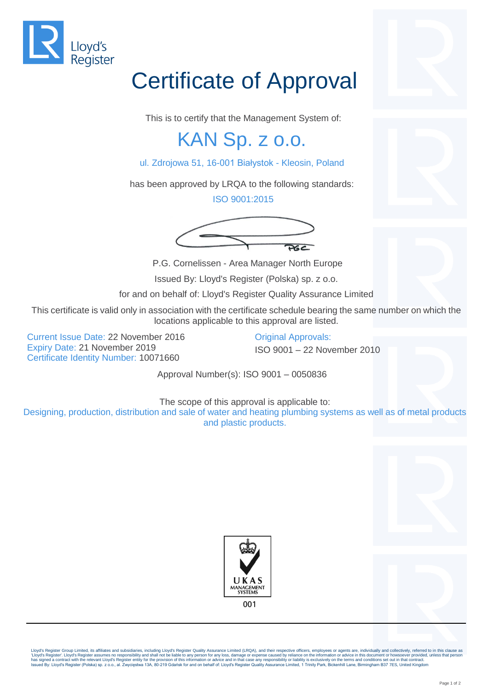

## Certificate of Approval

This is to certify that the Management System of:

## KAN Sp. z o.o.

ul. Zdrojowa 51, 16-001 Białystok - Kleosin, Poland

has been approved by LRQA to the following standards:

ISO 9001:2015



P.G. Cornelissen - Area Manager North Europe Issued By: Lloyd's Register (Polska) sp. z o.o.

for and on behalf of: Lloyd's Register Quality Assurance Limited

This certificate is valid only in association with the certificate schedule bearing the same number on which the locations applicable to this approval are listed.

Current Issue Date: 22 November 2016 Original Approvals: Expiry Date: 21 November 2019 **ISO 9001 – 22 November 2010** Certificate Identity Number: 10071660

Approval Number(s): ISO 9001 – 0050836

The scope of this approval is applicable to:

Designing, production, distribution and sale of water and heating plumbing systems as well as of metal products and plastic products.





Lloyd's Register Group Limited, its affiliates and subsidiaries, including Lloyd's Register Quality Assurance Limited (LRQA), and their respective officers, employees or agents are, individually and collectively, referred